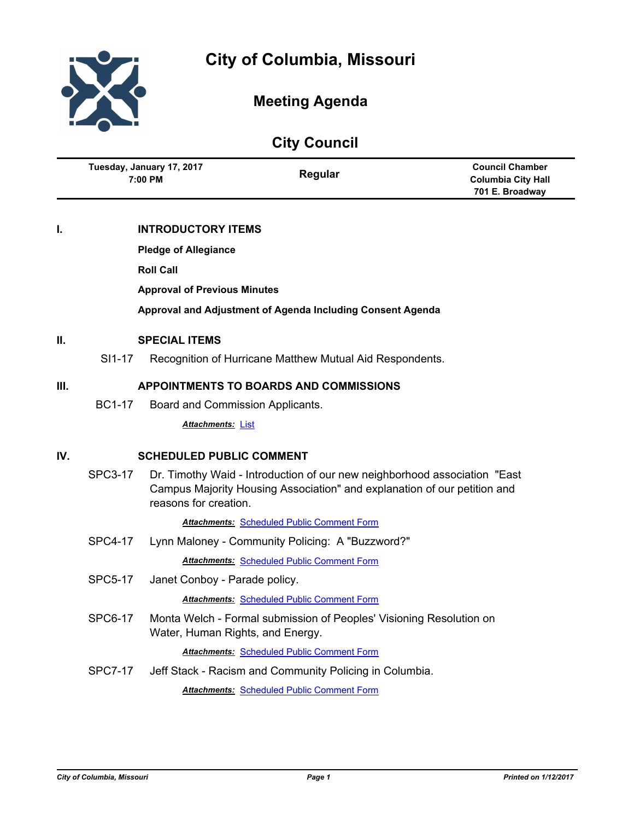

Ĭ.

# **Meeting Agenda**

| <b>City Council</b> |                                               |                                     |                                                                                                                                                        |                                                                        |
|---------------------|-----------------------------------------------|-------------------------------------|--------------------------------------------------------------------------------------------------------------------------------------------------------|------------------------------------------------------------------------|
|                     | Tuesday, January 17, 2017<br>7:00 PM          |                                     | Regular                                                                                                                                                | <b>Council Chamber</b><br><b>Columbia City Hall</b><br>701 E. Broadway |
| I.                  |                                               | <b>INTRODUCTORY ITEMS</b>           |                                                                                                                                                        |                                                                        |
|                     | <b>Pledge of Allegiance</b>                   |                                     |                                                                                                                                                        |                                                                        |
|                     |                                               | <b>Roll Call</b>                    |                                                                                                                                                        |                                                                        |
|                     |                                               | <b>Approval of Previous Minutes</b> |                                                                                                                                                        |                                                                        |
|                     |                                               |                                     | Approval and Adjustment of Agenda Including Consent Agenda                                                                                             |                                                                        |
| II.                 |                                               | <b>SPECIAL ITEMS</b>                |                                                                                                                                                        |                                                                        |
|                     | SI1-17                                        |                                     | Recognition of Hurricane Matthew Mutual Aid Respondents.                                                                                               |                                                                        |
| III.                | <b>APPOINTMENTS TO BOARDS AND COMMISSIONS</b> |                                     |                                                                                                                                                        |                                                                        |
|                     | <b>BC1-17</b>                                 | Board and Commission Applicants.    |                                                                                                                                                        |                                                                        |
|                     |                                               | <b>Attachments: List</b>            |                                                                                                                                                        |                                                                        |
| IV.                 | <b>SCHEDULED PUBLIC COMMENT</b>               |                                     |                                                                                                                                                        |                                                                        |
|                     | <b>SPC3-17</b>                                | reasons for creation.               | Dr. Timothy Waid - Introduction of our new neighborhood association "East"<br>Campus Majority Housing Association" and explanation of our petition and |                                                                        |
|                     |                                               |                                     | <b>Attachments: Scheduled Public Comment Form</b>                                                                                                      |                                                                        |
|                     | <b>SPC4-17</b>                                |                                     | Lynn Maloney - Community Policing: A "Buzzword?"                                                                                                       |                                                                        |
|                     |                                               |                                     | <b>Attachments: Scheduled Public Comment Form</b>                                                                                                      |                                                                        |
|                     | <b>SPC5-17</b>                                | Janet Conboy - Parade policy.       |                                                                                                                                                        |                                                                        |
|                     |                                               |                                     | <b>Attachments: Scheduled Public Comment Form</b>                                                                                                      |                                                                        |
|                     | <b>SPC6-17</b>                                | Water, Human Rights, and Energy.    | Monta Welch - Formal submission of Peoples' Visioning Resolution on                                                                                    |                                                                        |
|                     |                                               |                                     | <b>Attachments: Scheduled Public Comment Form</b>                                                                                                      |                                                                        |
|                     | <b>SPC7-17</b>                                |                                     | Jeff Stack - Racism and Community Policing in Columbia.                                                                                                |                                                                        |
|                     |                                               |                                     | <b>Attachments: Scheduled Public Comment Form</b>                                                                                                      |                                                                        |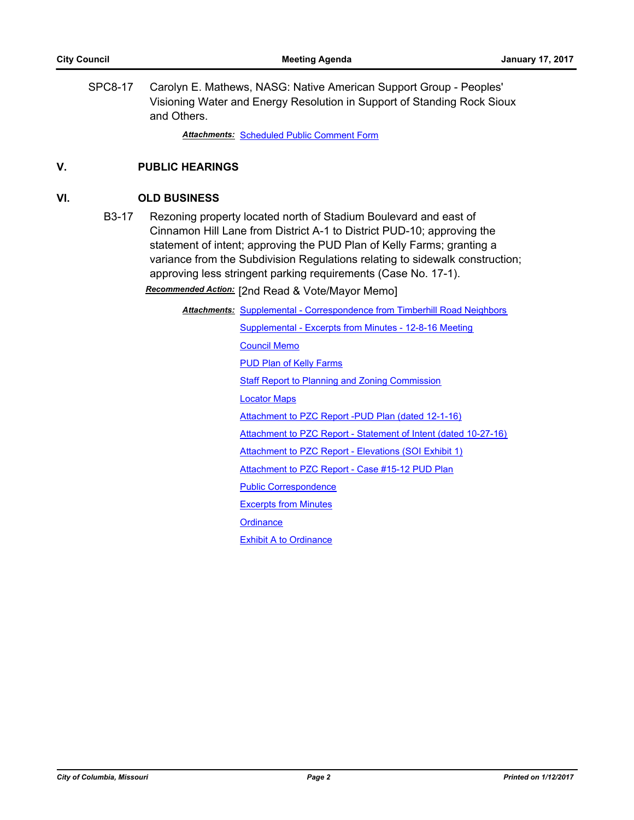SPC8-17 Carolyn E. Mathews, NASG: Native American Support Group - Peoples' Visioning Water and Energy Resolution in Support of Standing Rock Sioux and Others.

*Attachments:* [Scheduled Public Comment Form](http://gocolumbiamo.legistar.com/gateway.aspx?M=F&ID=d088dbed-46aa-42da-b80a-cd5b0902f275.pdf)

# **V. PUBLIC HEARINGS**

#### **VI. OLD BUSINESS**

B3-17 Rezoning property located north of Stadium Boulevard and east of Cinnamon Hill Lane from District A-1 to District PUD-10; approving the statement of intent; approving the PUD Plan of Kelly Farms; granting a variance from the Subdivision Regulations relating to sidewalk construction; approving less stringent parking requirements (Case No. 17-1).

*Recommended Action:* [2nd Read & Vote/Mayor Memo]

Attachments: [Supplemental - Correspondence from Timberhill Road Neighbors](http://gocolumbiamo.legistar.com/gateway.aspx?M=F&ID=5e7d3821-b085-4af8-b7ee-89f36979830a.pdf) [Supplemental - Excerpts from Minutes - 12-8-16 Meeting](http://gocolumbiamo.legistar.com/gateway.aspx?M=F&ID=1fd2f56b-d510-48d1-8245-52c19010e894.docx) [Council Memo](http://gocolumbiamo.legistar.com/gateway.aspx?M=F&ID=bc383e91-8f71-41b9-a506-0c5f9df6c653.docx) [PUD Plan of Kelly Farms](http://gocolumbiamo.legistar.com/gateway.aspx?M=F&ID=336476eb-eeab-4c61-a5cb-89e7056d4b56.pdf) **[Staff Report to Planning and Zoning Commission](http://gocolumbiamo.legistar.com/gateway.aspx?M=F&ID=382f16ff-8950-4029-85e9-e9fef157b7e0.pdf)** [Locator Maps](http://gocolumbiamo.legistar.com/gateway.aspx?M=F&ID=7202bc40-8bdd-40ba-b992-44e473c5080d.pdf) [Attachment to PZC Report -PUD Plan \(dated 12-1-16\)](http://gocolumbiamo.legistar.com/gateway.aspx?M=F&ID=858f8dfc-dbe4-4851-99ce-d3c2064cad68.pdf) [Attachment to PZC Report - Statement of Intent \(dated 10-27-16\)](http://gocolumbiamo.legistar.com/gateway.aspx?M=F&ID=df9f0e4a-72e6-4d38-a374-37810317b40e.pdf) [Attachment to PZC Report - Elevations \(SOI Exhibit 1\)](http://gocolumbiamo.legistar.com/gateway.aspx?M=F&ID=b3c5046d-3235-4f6b-b276-658d8af7834d.pdf) [Attachment to PZC Report - Case #15-12 PUD Plan](http://gocolumbiamo.legistar.com/gateway.aspx?M=F&ID=b3f58dc0-a271-4955-ba59-484ab1ae23e6.pdf) [Public Correspondence](http://gocolumbiamo.legistar.com/gateway.aspx?M=F&ID=7113a105-f4a2-455c-b743-b9dd44178a11.pdf) [Excerpts from Minutes](http://gocolumbiamo.legistar.com/gateway.aspx?M=F&ID=22156332-5eba-44fd-98c8-a205c703a394.docx) **[Ordinance](http://gocolumbiamo.legistar.com/gateway.aspx?M=F&ID=197f045a-4cb3-4104-b31c-286717823c1c.doc)** [Exhibit A to Ordinance](http://gocolumbiamo.legistar.com/gateway.aspx?M=F&ID=b8bcd902-5062-4468-9149-f06a45bd48d9.pdf)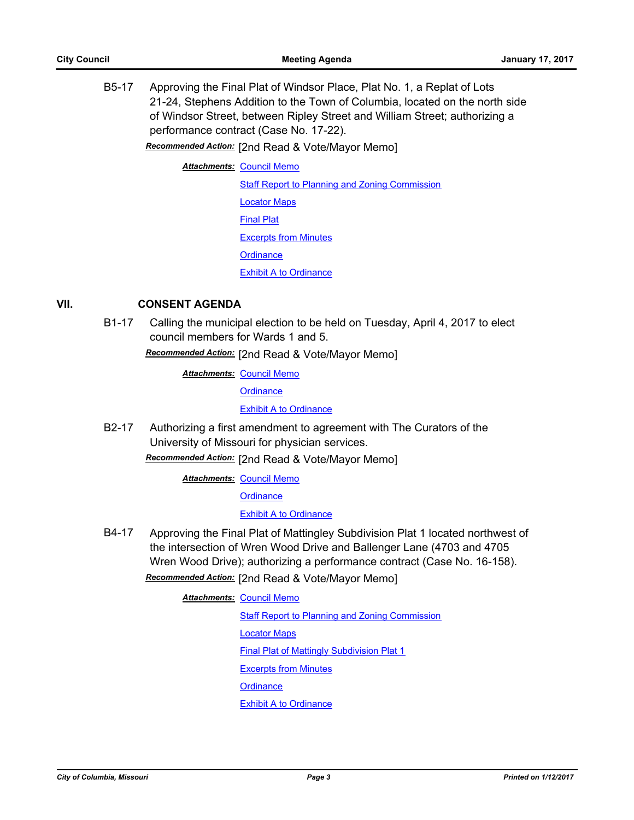B5-17 Approving the Final Plat of Windsor Place, Plat No. 1, a Replat of Lots 21-24, Stephens Addition to the Town of Columbia, located on the north side of Windsor Street, between Ripley Street and William Street; authorizing a performance contract (Case No. 17-22).

*Recommended Action:* [2nd Read & Vote/Mayor Memo]

**Attachments: [Council Memo](http://gocolumbiamo.legistar.com/gateway.aspx?M=F&ID=f7c00c75-d98a-4dcf-9d6f-4ad48e3327aa.docx)** 

**[Staff Report to Planning and Zoning Commission](http://gocolumbiamo.legistar.com/gateway.aspx?M=F&ID=45398683-a92c-4e8c-9c2f-6397d86674f0.pdf)** [Locator Maps](http://gocolumbiamo.legistar.com/gateway.aspx?M=F&ID=b4c185fc-eee9-405c-b202-4df60d060ff6.pdf) [Final Plat](http://gocolumbiamo.legistar.com/gateway.aspx?M=F&ID=3a23a51b-feb1-45a6-98f8-574937a03672.pdf) [Excerpts from Minutes](http://gocolumbiamo.legistar.com/gateway.aspx?M=F&ID=d4266a32-68ac-4a83-bba8-1d4e94cb7b9e.docx) **[Ordinance](http://gocolumbiamo.legistar.com/gateway.aspx?M=F&ID=8d3170ca-f458-4b37-b1e1-66dcd739068e.doc)** [Exhibit A to Ordinance](http://gocolumbiamo.legistar.com/gateway.aspx?M=F&ID=7d539679-419d-4ddb-97b1-b37e2f59a1de.pdf)

# **VII. CONSENT AGENDA**

B1-17 Calling the municipal election to be held on Tuesday, April 4, 2017 to elect council members for Wards 1 and 5.

*Recommended Action:* [2nd Read & Vote/Mayor Memo]

**Attachments: [Council Memo](http://gocolumbiamo.legistar.com/gateway.aspx?M=F&ID=b12715c8-dfbd-4e88-8832-0c1fd11756e9.docx)** 

**[Ordinance](http://gocolumbiamo.legistar.com/gateway.aspx?M=F&ID=c5e1729b-c5cc-4a2f-bae3-5f71298e952a.doc)** 

**[Exhibit A to Ordinance](http://gocolumbiamo.legistar.com/gateway.aspx?M=F&ID=c634b10b-7086-447a-9736-fc18131b910e.doc)** 

B2-17 Authorizing a first amendment to agreement with The Curators of the University of Missouri for physician services.

*Recommended Action:* [2nd Read & Vote/Mayor Memo]

**Attachments: [Council Memo](http://gocolumbiamo.legistar.com/gateway.aspx?M=F&ID=f2864aec-3ba1-4777-8f1c-133b40a93e84.docx)** 

**[Ordinance](http://gocolumbiamo.legistar.com/gateway.aspx?M=F&ID=434e48d9-e6ac-403a-b7f6-1cae7b0fb57f.doc)** 

**[Exhibit A to Ordinance](http://gocolumbiamo.legistar.com/gateway.aspx?M=F&ID=5448e316-7a32-42b4-9222-312d330f4854.pdf)** 

B4-17 Approving the Final Plat of Mattingley Subdivision Plat 1 located northwest of the intersection of Wren Wood Drive and Ballenger Lane (4703 and 4705 Wren Wood Drive); authorizing a performance contract (Case No. 16-158).

*Recommended Action:* [2nd Read & Vote/Mayor Memo]

**Attachments: [Council Memo](http://gocolumbiamo.legistar.com/gateway.aspx?M=F&ID=122ee7f5-2c24-4ffc-a834-9b1a347791bc.docx)** [Staff Report to Planning and Zoning Commission](http://gocolumbiamo.legistar.com/gateway.aspx?M=F&ID=63ae0e74-4255-45e0-8b07-643859930aca.docx) [Locator Maps](http://gocolumbiamo.legistar.com/gateway.aspx?M=F&ID=4cbf6e5b-11aa-42e1-ae54-1a5521f70c97.pdf) [Final Plat of Mattingly Subdivision Plat 1](http://gocolumbiamo.legistar.com/gateway.aspx?M=F&ID=13712ac2-1316-4880-84e0-270ec1f2980a.pdf) [Excerpts from Minutes](http://gocolumbiamo.legistar.com/gateway.aspx?M=F&ID=064c706b-57c0-4adf-8a82-8326cb6127d5.pdf) **[Ordinance](http://gocolumbiamo.legistar.com/gateway.aspx?M=F&ID=ace26a08-aaef-4e36-92d3-93986afced53.doc)** [Exhibit A to Ordinance](http://gocolumbiamo.legistar.com/gateway.aspx?M=F&ID=0d3f73fa-5669-4253-883e-fb3d2a4f04eb.pdf)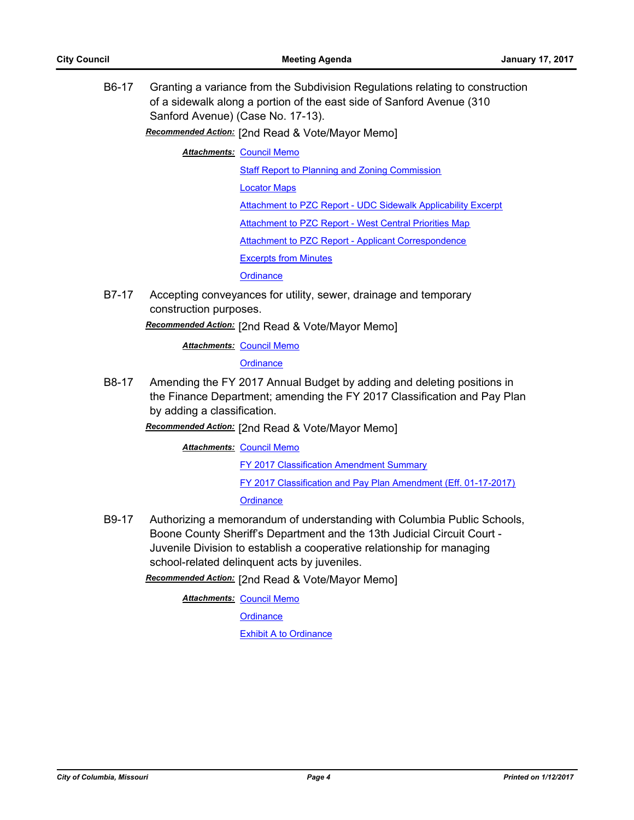B6-17 Granting a variance from the Subdivision Regulations relating to construction of a sidewalk along a portion of the east side of Sanford Avenue (310 Sanford Avenue) (Case No. 17-13).

*Recommended Action:* [2nd Read & Vote/Mayor Memo]

**Attachments: [Council Memo](http://gocolumbiamo.legistar.com/gateway.aspx?M=F&ID=f84548b9-de9d-4789-aa3e-e7c3cc3a11a1.docx)** 

[Staff Report to Planning and Zoning Commission](http://gocolumbiamo.legistar.com/gateway.aspx?M=F&ID=61adbc53-a396-4401-a4d2-a91b4f9d234e.pdf)

[Locator Maps](http://gocolumbiamo.legistar.com/gateway.aspx?M=F&ID=37257be5-3631-474c-af6c-6c3d6909922d.pdf)

[Attachment to PZC Report - UDC Sidewalk Applicability Excerpt](http://gocolumbiamo.legistar.com/gateway.aspx?M=F&ID=d42aa814-d489-4c55-8078-12adbc87cc5b.pdf)

[Attachment to PZC Report - West Central Priorities Map](http://gocolumbiamo.legistar.com/gateway.aspx?M=F&ID=00032bca-6c37-4e38-a5a3-acae10acbda5.pdf)

[Attachment to PZC Report - Applicant Correspondence](http://gocolumbiamo.legistar.com/gateway.aspx?M=F&ID=a3026b3c-5896-44ff-89a6-c63ae8677f06.pdf)

[Excerpts from Minutes](http://gocolumbiamo.legistar.com/gateway.aspx?M=F&ID=37d3f86c-aec3-4087-915e-d8ed5948ceed.docx)

**[Ordinance](http://gocolumbiamo.legistar.com/gateway.aspx?M=F&ID=d560ddda-a226-4527-8686-34ed5f107005.doc)** 

B7-17 Accepting conveyances for utility, sewer, drainage and temporary construction purposes.

*Recommended Action:* [2nd Read & Vote/Mayor Memo]

**Attachments: [Council Memo](http://gocolumbiamo.legistar.com/gateway.aspx?M=F&ID=6cf35119-5baa-40b0-bfa4-e0fc2d195915.docx)** 

**[Ordinance](http://gocolumbiamo.legistar.com/gateway.aspx?M=F&ID=5b75a0e5-fa42-4da8-ab19-a30a83ec11c8.doc)** 

B8-17 Amending the FY 2017 Annual Budget by adding and deleting positions in the Finance Department; amending the FY 2017 Classification and Pay Plan by adding a classification.

*Recommended Action:* [2nd Read & Vote/Mayor Memo]

**Attachments: [Council Memo](http://gocolumbiamo.legistar.com/gateway.aspx?M=F&ID=06d3eacc-db38-4ac2-aca4-d34a618b9d32.pdf)** 

[FY 2017 Classification Amendment Summary](http://gocolumbiamo.legistar.com/gateway.aspx?M=F&ID=4e4b6164-98d8-4558-9a1a-509955cc1834.pdf)

[FY 2017 Classification and Pay Plan Amendment \(Eff. 01-17-2017\)](http://gocolumbiamo.legistar.com/gateway.aspx?M=F&ID=d3c3f2d2-fd61-47f8-9f4a-a43766ab6449.pdf)

**[Ordinance](http://gocolumbiamo.legistar.com/gateway.aspx?M=F&ID=ad4e5944-9bdb-4941-a05f-85dd716f2c93.doc)** 

B9-17 Authorizing a memorandum of understanding with Columbia Public Schools, Boone County Sheriff's Department and the 13th Judicial Circuit Court - Juvenile Division to establish a cooperative relationship for managing school-related delinquent acts by juveniles.

*Recommended Action:* [2nd Read & Vote/Mayor Memo]

**Attachments: [Council Memo](http://gocolumbiamo.legistar.com/gateway.aspx?M=F&ID=9b687ea8-c065-4d81-9ba5-574d8794f477.docx)** 

**[Ordinance](http://gocolumbiamo.legistar.com/gateway.aspx?M=F&ID=31247ca1-3607-461f-9fc3-4fca60b3e53b.doc)** 

[Exhibit A to Ordinance](http://gocolumbiamo.legistar.com/gateway.aspx?M=F&ID=343286e2-8049-481f-893d-43eb4a80199c.pdf)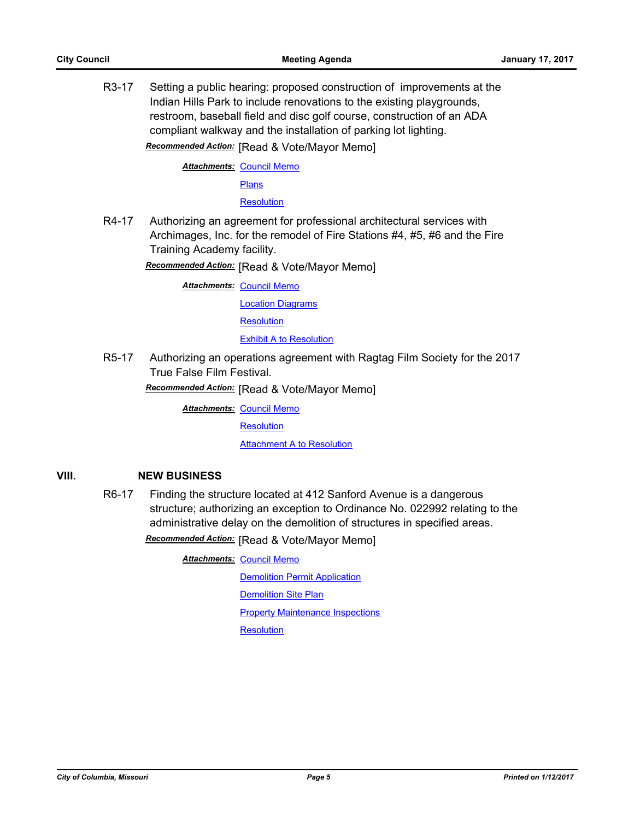R3-17 Setting a public hearing: proposed construction of improvements at the Indian Hills Park to include renovations to the existing playgrounds, restroom, baseball field and disc golf course, construction of an ADA compliant walkway and the installation of parking lot lighting. *Recommended Action:* [Read & Vote/Mayor Memo]

**Attachments: [Council Memo](http://gocolumbiamo.legistar.com/gateway.aspx?M=F&ID=97e3083f-cf1e-4db7-b1fb-e58cdb7a1e19.docx)** 

**[Plans](http://gocolumbiamo.legistar.com/gateway.aspx?M=F&ID=01eb7f24-5146-4f02-b125-76afa8b045fd.pdf)** 

**[Resolution](http://gocolumbiamo.legistar.com/gateway.aspx?M=F&ID=dfea2b58-5ea8-4f36-b367-d230d723da33.doc)** 

R4-17 Authorizing an agreement for professional architectural services with Archimages, Inc. for the remodel of Fire Stations #4, #5, #6 and the Fire Training Academy facility.

*Recommended Action:* [Read & Vote/Mayor Memo]

**Attachments: [Council Memo](http://gocolumbiamo.legistar.com/gateway.aspx?M=F&ID=98e5827c-cc02-40db-96b2-69a5efaf8af1.docx)** 

[Location Diagrams](http://gocolumbiamo.legistar.com/gateway.aspx?M=F&ID=678abd5d-aed0-4f30-9d87-f4648af8162b.pdf)

**[Resolution](http://gocolumbiamo.legistar.com/gateway.aspx?M=F&ID=e53961c3-3c4a-4be0-9959-58d69c6a9213.doc)** 

[Exhibit A to Resolution](http://gocolumbiamo.legistar.com/gateway.aspx?M=F&ID=4959496f-0fdc-4529-a185-c27e9b828f00.pdf)

R5-17 Authorizing an operations agreement with Ragtag Film Society for the 2017 True False Film Festival.

*Recommended Action:* [Read & Vote/Mayor Memo]

**Attachments: [Council Memo](http://gocolumbiamo.legistar.com/gateway.aspx?M=F&ID=6e94c581-642e-4021-ba71-f24a55a7eee9.docx)** 

**[Resolution](http://gocolumbiamo.legistar.com/gateway.aspx?M=F&ID=80082955-051c-453a-955f-a553a666b98f.doc)** 

**[Attachment A to Resolution](http://gocolumbiamo.legistar.com/gateway.aspx?M=F&ID=65b6810b-4d2d-43f8-b77f-f6736c1fa991.pdf)** 

# **VIII. NEW BUSINESS**

R6-17 Finding the structure located at 412 Sanford Avenue is a dangerous structure; authorizing an exception to Ordinance No. 022992 relating to the administrative delay on the demolition of structures in specified areas.

*Recommended Action:* [Read & Vote/Mayor Memo]

**Attachments: [Council Memo](http://gocolumbiamo.legistar.com/gateway.aspx?M=F&ID=89e5826c-fba4-4792-9af1-f124e0c9f43b.docx)** 

[Demolition Permit Application](http://gocolumbiamo.legistar.com/gateway.aspx?M=F&ID=46a67d53-e9c0-41ed-9db1-df249fc4d3a5.pdf) [Demolition Site Plan](http://gocolumbiamo.legistar.com/gateway.aspx?M=F&ID=ff75a6c2-18dd-4990-b1a8-4d18d2a65e41.pdf) [Property Maintenance Inspections](http://gocolumbiamo.legistar.com/gateway.aspx?M=F&ID=51c5a85f-8288-47ef-a876-82da34b21f25.pdf) **[Resolution](http://gocolumbiamo.legistar.com/gateway.aspx?M=F&ID=e7f8aeda-77c6-4c0d-8a0e-919f87da107a.doc)**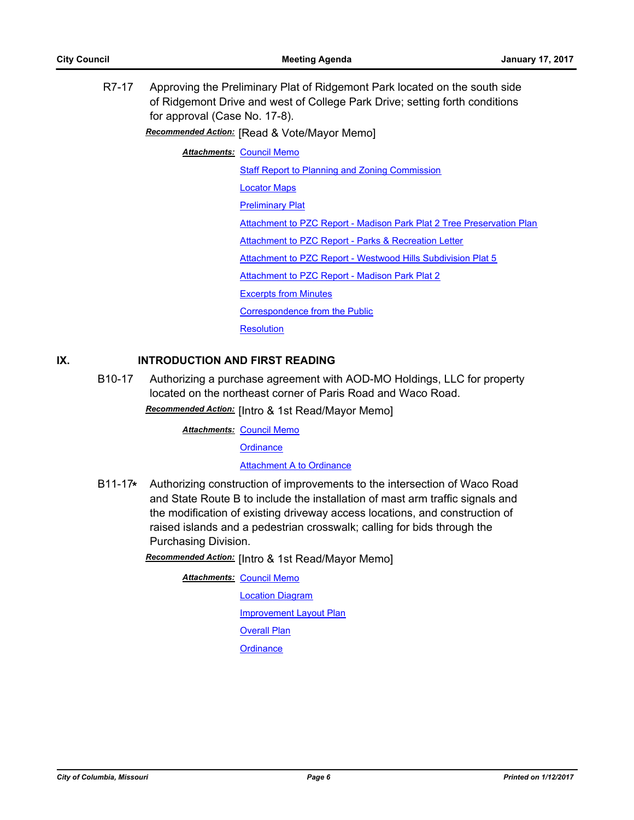R7-17 Approving the Preliminary Plat of Ridgemont Park located on the south side of Ridgemont Drive and west of College Park Drive; setting forth conditions for approval (Case No. 17-8).

*Recommended Action:* [Read & Vote/Mayor Memo]

**Attachments: [Council Memo](http://gocolumbiamo.legistar.com/gateway.aspx?M=F&ID=cfc7fd16-a941-4e35-912c-96b03ea6347b.docx)** 

[Staff Report to Planning and Zoning Commission](http://gocolumbiamo.legistar.com/gateway.aspx?M=F&ID=ff771034-f960-45ad-9cfc-ddd4dd9c7d32.docx) [Locator Maps](http://gocolumbiamo.legistar.com/gateway.aspx?M=F&ID=add3f82d-bd85-483f-bfe6-2a738b8f129d.pdf) [Preliminary Plat](http://gocolumbiamo.legistar.com/gateway.aspx?M=F&ID=5134ce73-9b9c-4057-a177-24c821263a29.pdf) [Attachment to PZC Report - Madison Park Plat 2 Tree Preservation Plan](http://gocolumbiamo.legistar.com/gateway.aspx?M=F&ID=254848cd-1b63-43cc-8d1d-a358c886b787.pdf) [Attachment to PZC Report - Parks & Recreation Letter](http://gocolumbiamo.legistar.com/gateway.aspx?M=F&ID=d07750bd-11ee-44cf-9c9f-9cee11da3f34.pdf) [Attachment to PZC Report - Westwood Hills Subdivision Plat 5](http://gocolumbiamo.legistar.com/gateway.aspx?M=F&ID=2e8642cc-05e5-4ef2-baf7-eb2c8f0d8307.pdf) [Attachment to PZC Report - Madison Park Plat 2](http://gocolumbiamo.legistar.com/gateway.aspx?M=F&ID=e6a11531-d02a-47d1-961f-2aab484d1908.pdf) [Excerpts from Minutes](http://gocolumbiamo.legistar.com/gateway.aspx?M=F&ID=a383391b-fa97-4b6f-b3fc-c61b56ab2c03.docx) [Correspondence from the Public](http://gocolumbiamo.legistar.com/gateway.aspx?M=F&ID=0f3e74b6-f1cf-4f1a-b023-70d3d6c112d6.pdf) **[Resolution](http://gocolumbiamo.legistar.com/gateway.aspx?M=F&ID=9b49df24-a8c3-46f2-b60f-43aa8525c9a7.doc)** 

# **IX. INTRODUCTION AND FIRST READING**

B10-17 Authorizing a purchase agreement with AOD-MO Holdings, LLC for property located on the northeast corner of Paris Road and Waco Road.

*Recommended Action:* [Intro & 1st Read/Mayor Memo]

**Attachments: [Council Memo](http://gocolumbiamo.legistar.com/gateway.aspx?M=F&ID=28c80fc3-abdf-45a0-8e75-5b78843424b4.docx)** 

**[Ordinance](http://gocolumbiamo.legistar.com/gateway.aspx?M=F&ID=4df4721d-8df9-4c73-9a10-d6e6e934ce84.doc)** 

#### [Attachment A to Ordinance](http://gocolumbiamo.legistar.com/gateway.aspx?M=F&ID=c45d1a37-0597-4795-ae36-2e6f08c24ce8.docx)

B11-17**\*** Authorizing construction of improvements to the intersection of Waco Road and State Route B to include the installation of mast arm traffic signals and the modification of existing driveway access locations, and construction of raised islands and a pedestrian crosswalk; calling for bids through the Purchasing Division.

*Recommended Action:* [Intro & 1st Read/Mayor Memo]

**Attachments: [Council Memo](http://gocolumbiamo.legistar.com/gateway.aspx?M=F&ID=e3cd44a4-0e84-41ad-9b95-ee3c1ff4a1fa.docx)** 

[Location Diagram](http://gocolumbiamo.legistar.com/gateway.aspx?M=F&ID=dfa4c611-3932-4682-8e1d-c601eee5aea6.pdf)

[Improvement Layout Plan](http://gocolumbiamo.legistar.com/gateway.aspx?M=F&ID=67693d62-0450-4af1-8116-0050b14f9b87.pdf)

[Overall Plan](http://gocolumbiamo.legistar.com/gateway.aspx?M=F&ID=4e7b9b7c-afef-4fc9-8142-c167390483ba.pdf)

**[Ordinance](http://gocolumbiamo.legistar.com/gateway.aspx?M=F&ID=627c0277-8b97-4e42-945c-3af19302a51f.doc)**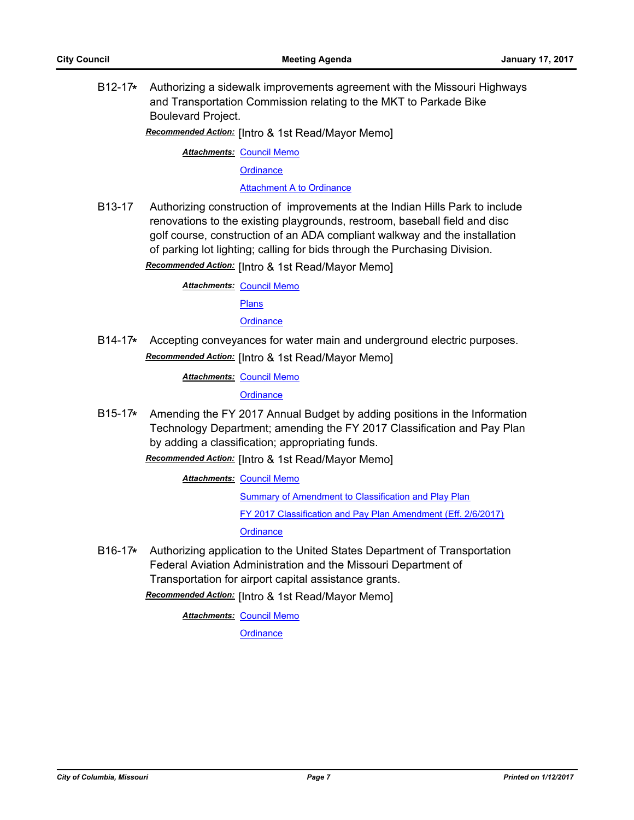B12-17**\*** Authorizing a sidewalk improvements agreement with the Missouri Highways and Transportation Commission relating to the MKT to Parkade Bike Boulevard Project.

*Recommended Action:* [Intro & 1st Read/Mayor Memo]

**Attachments: [Council Memo](http://gocolumbiamo.legistar.com/gateway.aspx?M=F&ID=b8604e60-0f68-465e-8b1d-49aad2a0f639.docx)** 

**[Ordinance](http://gocolumbiamo.legistar.com/gateway.aspx?M=F&ID=677bd64d-bc13-4981-a55c-1c2a5bdcd3d3.doc)** 

[Attachment A to Ordinance](http://gocolumbiamo.legistar.com/gateway.aspx?M=F&ID=f2eca8a6-2894-49c5-a706-594a442b5f99.pdf)

B13-17 Authorizing construction of improvements at the Indian Hills Park to include renovations to the existing playgrounds, restroom, baseball field and disc golf course, construction of an ADA compliant walkway and the installation of parking lot lighting; calling for bids through the Purchasing Division.

*Recommended Action:* [Intro & 1st Read/Mayor Memo]

**Attachments: [Council Memo](http://gocolumbiamo.legistar.com/gateway.aspx?M=F&ID=e5defea8-17e0-4506-a2d2-7943857a0843.docx)** [Plans](http://gocolumbiamo.legistar.com/gateway.aspx?M=F&ID=eae333f2-62a8-4260-b541-4043cb004199.pdf)

## **[Ordinance](http://gocolumbiamo.legistar.com/gateway.aspx?M=F&ID=a7b6a544-2085-44ad-a87e-5a7f65ea38ed.doc)**

B14-17**\*** Accepting conveyances for water main and underground electric purposes. *Recommended Action:* [Intro & 1st Read/Mayor Memo]

**Attachments: [Council Memo](http://gocolumbiamo.legistar.com/gateway.aspx?M=F&ID=6b39fee9-3d2f-472a-804c-425306bebd9a.docx)** 

**[Ordinance](http://gocolumbiamo.legistar.com/gateway.aspx?M=F&ID=44629117-9648-42a5-bbcb-7c858858dab9.doc)** 

B15-17**\*** Amending the FY 2017 Annual Budget by adding positions in the Information Technology Department; amending the FY 2017 Classification and Pay Plan by adding a classification; appropriating funds.

*Recommended Action:* [Intro & 1st Read/Mayor Memo]

**Attachments: [Council Memo](http://gocolumbiamo.legistar.com/gateway.aspx?M=F&ID=7fb18ae6-2613-45c1-9c75-6ea60602804b.docx)** 

[Summary of Amendment to Classification and Play Plan](http://gocolumbiamo.legistar.com/gateway.aspx?M=F&ID=a87779b6-f693-457f-9906-a56fc17e443f.doc) [FY 2017 Classification and Pay Plan Amendment \(Eff. 2/6/2017\)](http://gocolumbiamo.legistar.com/gateway.aspx?M=F&ID=6e28caec-4d86-4f49-8397-dd6597486aa5.pdf)

**[Ordinance](http://gocolumbiamo.legistar.com/gateway.aspx?M=F&ID=48e47798-e51d-4583-a3da-3c93ca84c18c.doc)** 

B16-17**\*** Authorizing application to the United States Department of Transportation Federal Aviation Administration and the Missouri Department of Transportation for airport capital assistance grants.

*Recommended Action:* [Intro & 1st Read/Mayor Memo]

**Attachments: [Council Memo](http://gocolumbiamo.legistar.com/gateway.aspx?M=F&ID=b62435a8-becd-4129-ae3a-b35c5d0cf0de.docx)** 

**[Ordinance](http://gocolumbiamo.legistar.com/gateway.aspx?M=F&ID=0d3f6b33-6389-45be-851b-448dbf25056b.doc)**